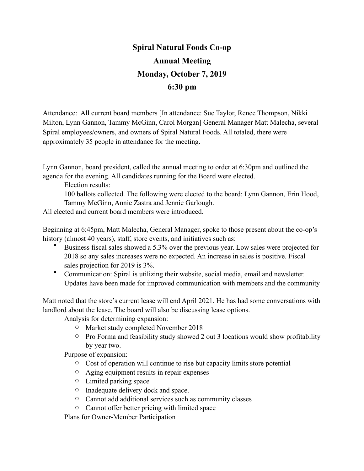## **Spiral Natural Foods Co-op Annual Meeting Monday, October 7, 2019 6:30 pm**

Attendance: All current board members [In attendance: Sue Taylor, Renee Thompson, Nikki Milton, Lynn Gannon, Tammy McGinn, Carol Morgan] General Manager Matt Malecha, several Spiral employees/owners, and owners of Spiral Natural Foods. All totaled, there were approximately 35 people in attendance for the meeting.

Lynn Gannon, board president, called the annual meeting to order at 6:30pm and outlined the agenda for the evening. All candidates running for the Board were elected.

Election results:

100 ballots collected. The following were elected to the board: Lynn Gannon, Erin Hood, Tammy McGinn, Annie Zastra and Jennie Garlough.

All elected and current board members were introduced.

Beginning at 6:45pm, Matt Malecha, General Manager, spoke to those present about the co-op's history (almost 40 years), staff, store events, and initiatives such as:

- Business fiscal sales showed a 5.3% over the previous year. Low sales were projected for 2018 so any sales increases were no expected. An increase in sales is positive. Fiscal sales projection for 2019 is 3%.
- Communication: Spiral is utilizing their website, social media, email and newsletter. Updates have been made for improved communication with members and the community

Matt noted that the store's current lease will end April 2021. He has had some conversations with landlord about the lease. The board will also be discussing lease options.

Analysis for determining expansion:

- o Market study completed November 2018
- o Pro Forma and feasibility study showed 2 out 3 locations would show profitability by year two.

Purpose of expansion:

- o Cost of operation will continue to rise but capacity limits store potential
- o Aging equipment results in repair expenses
- o Limited parking space
- o Inadequate delivery dock and space.
- o Cannot add additional services such as community classes
- o Cannot offer better pricing with limited space

Plans for Owner-Member Participation